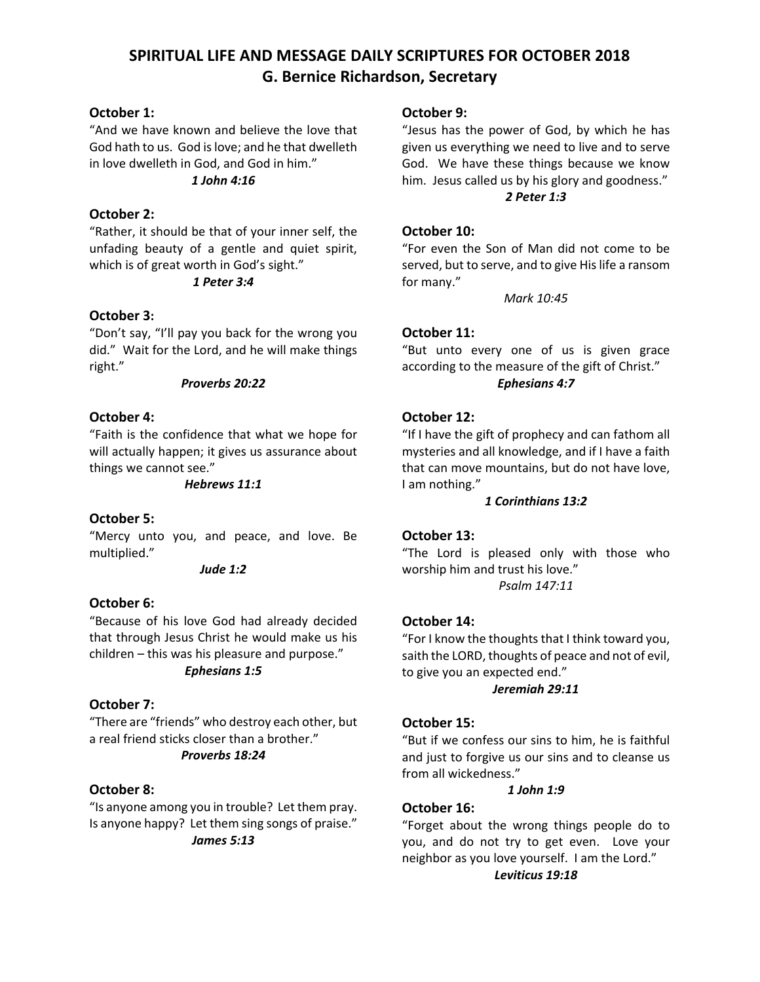# **SPIRITUAL LIFE AND MESSAGE DAILY SCRIPTURES FOR OCTOBER 2018 G. Bernice Richardson, Secretary**

# **October 1:**

"And we have known and believe the love that God hath to us. God is love; and he that dwelleth in love dwelleth in God, and God in him."

# *1 John 4:16*

# **October 2:**

"Rather, it should be that of your inner self, the unfading beauty of a gentle and quiet spirit, which is of great worth in God's sight."

### *1 Peter 3:4*

# **October 3:**

"Don't say, "I'll pay you back for the wrong you did." Wait for the Lord, and he will make things right."

#### *Proverbs 20:22*

### **October 4:**

"Faith is the confidence that what we hope for will actually happen; it gives us assurance about things we cannot see."

### *Hebrews 11:1*

### **October 5:**

"Mercy unto you, and peace, and love. Be multiplied."

### *Jude 1:2*

### **October 6:**

"Because of his love God had already decided that through Jesus Christ he would make us his children – this was his pleasure and purpose." *Ephesians 1:5*

### **October 7:**

"There are "friends" who destroy each other, but a real friend sticks closer than a brother." *Proverbs 18:24*

### **October 8:**

"Is anyone among you in trouble? Let them pray. Is anyone happy? Let them sing songs of praise." *James 5:13*

### **October 9:**

"Jesus has the power of God, by which he has given us everything we need to live and to serve God. We have these things because we know him. Jesus called us by his glory and goodness." *2 Peter 1:3*

# **October 10:**

"For even the Son of Man did not come to be served, but to serve, and to give His life a ransom for many."

*Mark 10:45*

### **October 11:**

"But unto every one of us is given grace according to the measure of the gift of Christ." *Ephesians 4:7*

### **October 12:**

"If I have the gift of prophecy and can fathom all mysteries and all knowledge, and if I have a faith that can move mountains, but do not have love, I am nothing."

### *1 Corinthians 13:2*

### **October 13:**

"The Lord is pleased only with those who worship him and trust his love." *Psalm 147:11*

### **October 14:**

"For I know the thoughts that I think toward you, saith the LORD, thoughts of peace and not of evil, to give you an expected end."

### *Jeremiah 29:11*

### **October 15:**

"But if we confess our sins to him, he is faithful and just to forgive us our sins and to cleanse us from all wickedness."

### *1 John 1:9*

# **October 16:**

"Forget about the wrong things people do to you, and do not try to get even. Love your neighbor as you love yourself. I am the Lord."

### *Leviticus 19:18*